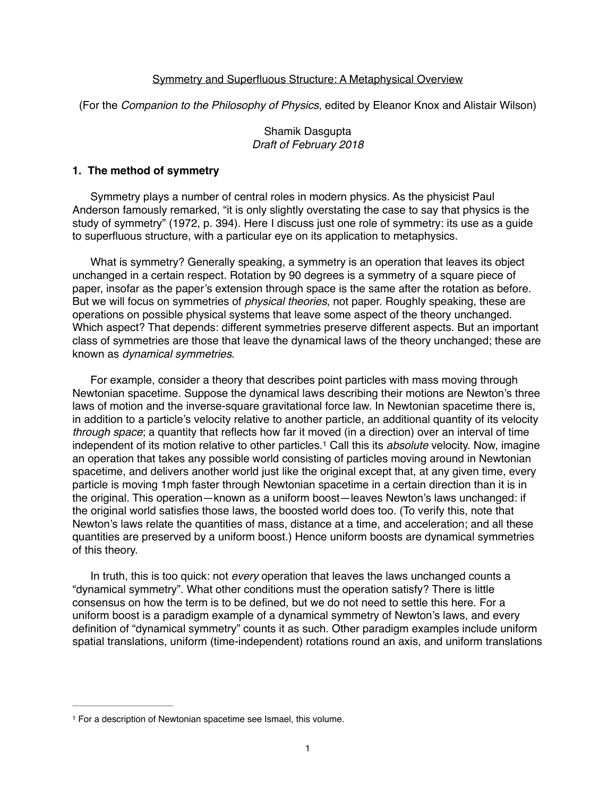## Symmetry and Superfluous Structure: A Metaphysical Overview

(For the *Companion to the Philosophy of Physics*, edited by Eleanor Knox and Alistair Wilson)

Shamik Dasgupta *Draft of February 2018*

#### **1. The method of symmetry**

Symmetry plays a number of central roles in modern physics. As the physicist Paul Anderson famously remarked, "it is only slightly overstating the case to say that physics is the study of symmetry" (1972, p. 394). Here I discuss just one role of symmetry: its use as a guide to superfluous structure, with a particular eye on its application to metaphysics.

What is symmetry? Generally speaking, a symmetry is an operation that leaves its object unchanged in a certain respect. Rotation by 90 degrees is a symmetry of a square piece of paper, insofar as the paper's extension through space is the same after the rotation as before. But we will focus on symmetries of *physical theories*, not paper. Roughly speaking, these are operations on possible physical systems that leave some aspect of the theory unchanged. Which aspect? That depends: different symmetries preserve different aspects. But an important class of symmetries are those that leave the dynamical laws of the theory unchanged; these are known as *dynamical symmetries*.

For example, consider a theory that describes point particles with mass moving through Newtonian spacetime. Suppose the dynamical laws describing their motions are Newton's three laws of motion and the inverse-square gravitational force law. In Newtonian spacetime there is, in addition to a particle's velocity relative to another particle, an additional quantity of its velocity *through space*; a quantity that reflects how far it moved (in a direction) over an interval of time independent of its motion relative to other particles.<sup>1</sup> Call this its *absolute* velocity. Now, imagine an operation that takes any possible world consisting of particles moving around in Newtonian spacetime, and delivers another world just like the original except that, at any given time, every particle is moving 1mph faster through Newtonian spacetime in a certain direction than it is in the original. This operation—known as a uniform boost—leaves Newton's laws unchanged: if the original world satisfies those laws, the boosted world does too. (To verify this, note that Newton's laws relate the quantities of mass, distance at a time, and acceleration; and all these quantities are preserved by a uniform boost.) Hence uniform boosts are dynamical symmetries of this theory.

In truth, this is too quick: not *every* operation that leaves the laws unchanged counts a "dynamical symmetry". What other conditions must the operation satisfy? There is little consensus on how the term is to be defined, but we do not need to settle this here. For a uniform boost is a paradigm example of a dynamical symmetry of Newton's laws, and every definition of "dynamical symmetry" counts it as such. Other paradigm examples include uniform spatial translations, uniform (time-independent) rotations round an axis, and uniform translations

<sup>&</sup>lt;sup>1</sup> For a description of Newtonian spacetime see Ismael, this volume.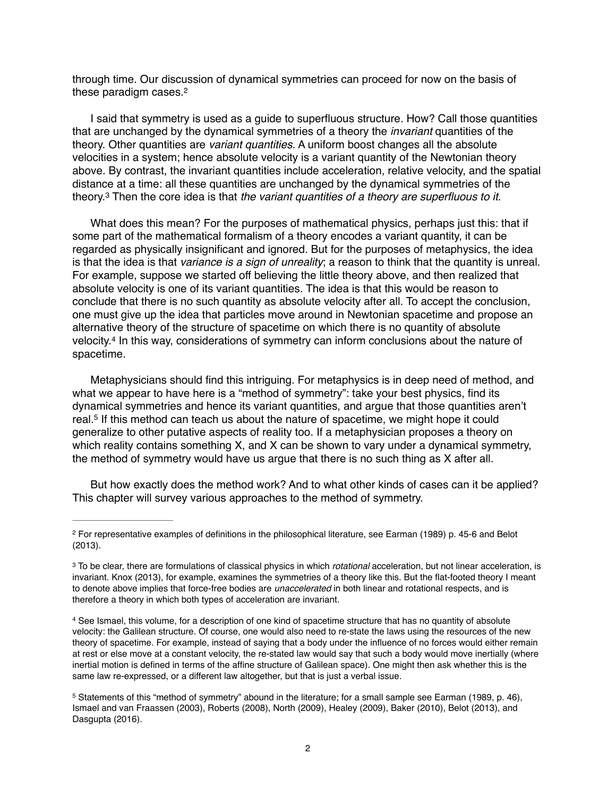through time. Our discussion of dynamical symmetries can proceed for now on the basis of these paradigm cases.2

I said that symmetry is used as a guide to superfluous structure. How? Call those quantities that are unchanged by the dynamical symmetries of a theory the *invariant* quantities of the theory. Other quantities are *variant quantities*. A uniform boost changes all the absolute velocities in a system; hence absolute velocity is a variant quantity of the Newtonian theory above. By contrast, the invariant quantities include acceleration, relative velocity, and the spatial distance at a time: all these quantities are unchanged by the dynamical symmetries of the theory.<sup>3</sup> Then the core idea is that *the variant quantities of a theory are superfluous to it.* 

What does this mean? For the purposes of mathematical physics, perhaps just this: that if some part of the mathematical formalism of a theory encodes a variant quantity, it can be regarded as physically insignificant and ignored. But for the purposes of metaphysics, the idea is that the idea is that *variance is a sign of unreality*; a reason to think that the quantity is unreal. For example, suppose we started off believing the little theory above, and then realized that absolute velocity is one of its variant quantities. The idea is that this would be reason to conclude that there is no such quantity as absolute velocity after all. To accept the conclusion, one must give up the idea that particles move around in Newtonian spacetime and propose an alternative theory of the structure of spacetime on which there is no quantity of absolute velocity.<sup>4</sup> In this way, considerations of symmetry can inform conclusions about the nature of spacetime.

Metaphysicians should find this intriguing. For metaphysics is in deep need of method, and what we appear to have here is a "method of symmetry": take your best physics, find its dynamical symmetries and hence its variant quantities, and argue that those quantities aren't real.<sup>5</sup> If this method can teach us about the nature of spacetime, we might hope it could generalize to other putative aspects of reality too. If a metaphysician proposes a theory on which reality contains something X, and X can be shown to vary under a dynamical symmetry, the method of symmetry would have us argue that there is no such thing as X after all.

But how exactly does the method work? And to what other kinds of cases can it be applied? This chapter will survey various approaches to the method of symmetry.

For representative examples of definitions in the philosophical literature, see Earman (1989) p. 45-6 and Belot 2 (2013).

To be clear, there are formulations of classical physics in which *rotational* acceleration, but not linear acceleration, is 3 invariant. Knox (2013), for example, examines the symmetries of a theory like this. But the flat-footed theory I meant to denote above implies that force-free bodies are *unaccelerated* in both linear and rotational respects, and is therefore a theory in which both types of acceleration are invariant.

<sup>4</sup> See Ismael, this volume, for a description of one kind of spacetime structure that has no quantity of absolute velocity: the Galilean structure. Of course, one would also need to re-state the laws using the resources of the new theory of spacetime. For example, instead of saying that a body under the influence of no forces would either remain at rest or else move at a constant velocity, the re-stated law would say that such a body would move inertially (where inertial motion is defined in terms of the affine structure of Galilean space). One might then ask whether this is the same law re-expressed, or a different law altogether, but that is just a verbal issue.

<sup>&</sup>lt;sup>5</sup> Statements of this "method of symmetry" abound in the literature; for a small sample see Earman (1989, p. 46), Ismael and van Fraassen (2003), Roberts (2008), North (2009), Healey (2009), Baker (2010), Belot (2013), and Dasgupta (2016).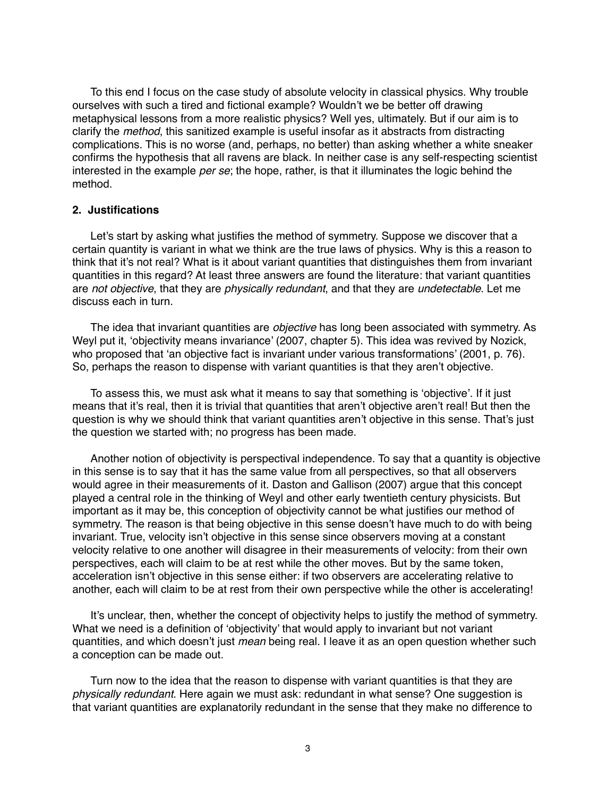To this end I focus on the case study of absolute velocity in classical physics. Why trouble ourselves with such a tired and fictional example? Wouldn't we be better off drawing metaphysical lessons from a more realistic physics? Well yes, ultimately. But if our aim is to clarify the *method*, this sanitized example is useful insofar as it abstracts from distracting complications. This is no worse (and, perhaps, no better) than asking whether a white sneaker confirms the hypothesis that all ravens are black. In neither case is any self-respecting scientist interested in the example *per se*; the hope, rather, is that it illuminates the logic behind the method.

# **2. Justifications**

Let's start by asking what justifies the method of symmetry. Suppose we discover that a certain quantity is variant in what we think are the true laws of physics. Why is this a reason to think that it's not real? What is it about variant quantities that distinguishes them from invariant quantities in this regard? At least three answers are found the literature: that variant quantities are *not objective*, that they are *physically redundant*, and that they are *undetectable*. Let me discuss each in turn.

The idea that invariant quantities are *objective* has long been associated with symmetry. As Weyl put it, 'objectivity means invariance' (2007, chapter 5). This idea was revived by Nozick, who proposed that 'an objective fact is invariant under various transformations' (2001, p. 76). So, perhaps the reason to dispense with variant quantities is that they aren't objective.

To assess this, we must ask what it means to say that something is 'objective'. If it just means that it's real, then it is trivial that quantities that aren't objective aren't real! But then the question is why we should think that variant quantities aren't objective in this sense. That's just the question we started with; no progress has been made.

Another notion of objectivity is perspectival independence. To say that a quantity is objective in this sense is to say that it has the same value from all perspectives, so that all observers would agree in their measurements of it. Daston and Gallison (2007) argue that this concept played a central role in the thinking of Weyl and other early twentieth century physicists. But important as it may be, this conception of objectivity cannot be what justifies our method of symmetry. The reason is that being objective in this sense doesn't have much to do with being invariant. True, velocity isn't objective in this sense since observers moving at a constant velocity relative to one another will disagree in their measurements of velocity: from their own perspectives, each will claim to be at rest while the other moves. But by the same token, acceleration isn't objective in this sense either: if two observers are accelerating relative to another, each will claim to be at rest from their own perspective while the other is accelerating!

It's unclear, then, whether the concept of objectivity helps to justify the method of symmetry. What we need is a definition of 'objectivity' that would apply to invariant but not variant quantities, and which doesn't just *mean* being real. I leave it as an open question whether such a conception can be made out.

Turn now to the idea that the reason to dispense with variant quantities is that they are *physically redundant*. Here again we must ask: redundant in what sense? One suggestion is that variant quantities are explanatorily redundant in the sense that they make no difference to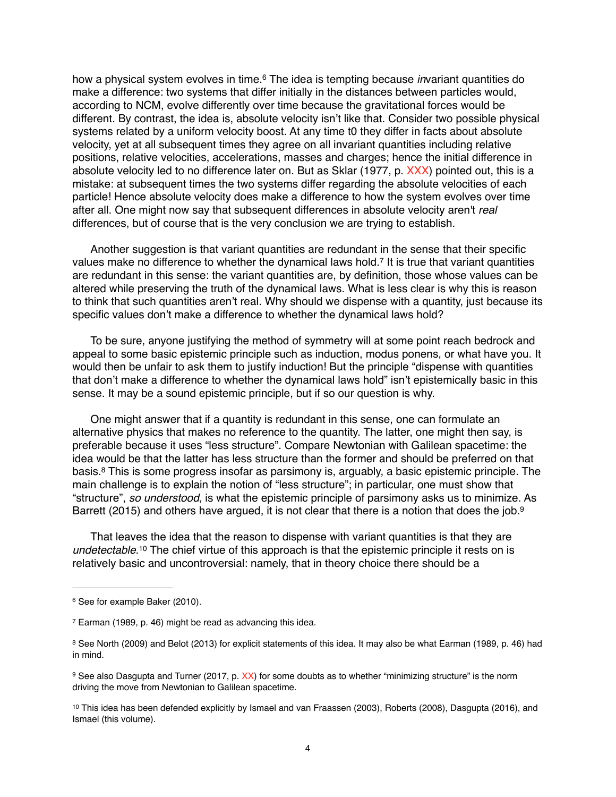how a physical system evolves in time.<sup>6</sup> The idea is tempting because *in*variant quantities do make a difference: two systems that differ initially in the distances between particles would, according to NCM, evolve differently over time because the gravitational forces would be different. By contrast, the idea is, absolute velocity isn't like that. Consider two possible physical systems related by a uniform velocity boost. At any time t0 they differ in facts about absolute velocity, yet at all subsequent times they agree on all invariant quantities including relative positions, relative velocities, accelerations, masses and charges; hence the initial difference in absolute velocity led to no difference later on. But as Sklar (1977, p. XXX) pointed out, this is a mistake: at subsequent times the two systems differ regarding the absolute velocities of each particle! Hence absolute velocity does make a difference to how the system evolves over time after all. One might now say that subsequent differences in absolute velocity aren't *real* differences, but of course that is the very conclusion we are trying to establish.

Another suggestion is that variant quantities are redundant in the sense that their specific values make no difference to whether the dynamical laws hold.<sup>7</sup> It is true that variant quantities are redundant in this sense: the variant quantities are, by definition, those whose values can be altered while preserving the truth of the dynamical laws. What is less clear is why this is reason to think that such quantities aren't real. Why should we dispense with a quantity, just because its specific values don't make a difference to whether the dynamical laws hold?

To be sure, anyone justifying the method of symmetry will at some point reach bedrock and appeal to some basic epistemic principle such as induction, modus ponens, or what have you. It would then be unfair to ask them to justify induction! But the principle "dispense with quantities that don't make a difference to whether the dynamical laws hold" isn't epistemically basic in this sense. It may be a sound epistemic principle, but if so our question is why.

One might answer that if a quantity is redundant in this sense, one can formulate an alternative physics that makes no reference to the quantity. The latter, one might then say, is preferable because it uses "less structure". Compare Newtonian with Galilean spacetime: the idea would be that the latter has less structure than the former and should be preferred on that basis.<sup>8</sup> This is some progress insofar as parsimony is, arguably, a basic epistemic principle. The main challenge is to explain the notion of "less structure"; in particular, one must show that "structure", *so understood*, is what the epistemic principle of parsimony asks us to minimize. As Barrett (2015) and others have argued, it is not clear that there is a notion that does the job.<sup>9</sup>

That leaves the idea that the reason to dispense with variant quantities is that they are *undetectable*.<sup>10</sup> The chief virtue of this approach is that the epistemic principle it rests on is relatively basic and uncontroversial: namely, that in theory choice there should be a

<sup>&</sup>lt;sup>6</sup> See for example Baker (2010).

 $7$  Earman (1989, p. 46) might be read as advancing this idea.

<sup>&</sup>lt;sup>8</sup> See North (2009) and Belot (2013) for explicit statements of this idea. It may also be what Earman (1989, p. 46) had in mind.

<sup>&</sup>lt;sup>9</sup> See also Dasgupta and Turner (2017, p. XX) for some doubts as to whether "minimizing structure" is the norm driving the move from Newtonian to Galilean spacetime.

<sup>&</sup>lt;sup>10</sup> This idea has been defended explicitly by Ismael and van Fraassen (2003), Roberts (2008), Dasgupta (2016), and Ismael (this volume).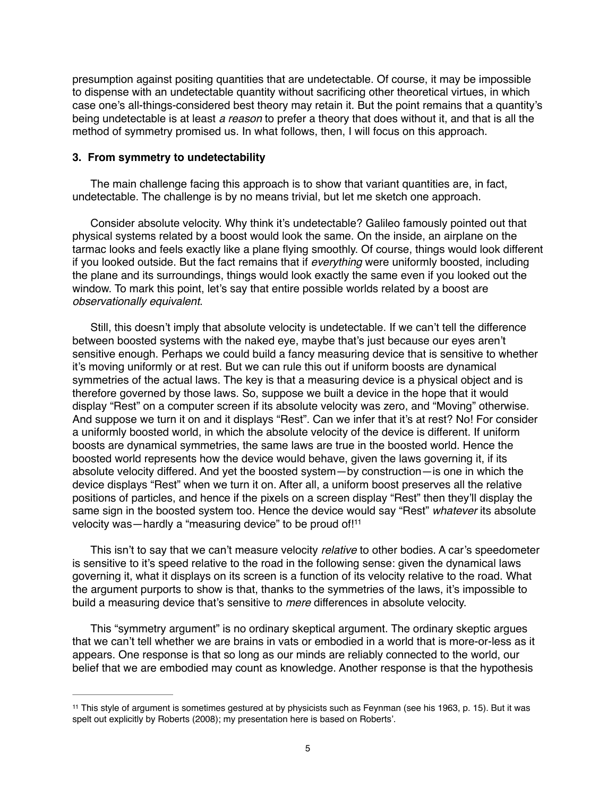presumption against positing quantities that are undetectable. Of course, it may be impossible to dispense with an undetectable quantity without sacrificing other theoretical virtues, in which case one's all-things-considered best theory may retain it. But the point remains that a quantity's being undetectable is at least *a reason* to prefer a theory that does without it, and that is all the method of symmetry promised us. In what follows, then, I will focus on this approach.

## **3. From symmetry to undetectability**

The main challenge facing this approach is to show that variant quantities are, in fact, undetectable. The challenge is by no means trivial, but let me sketch one approach.

Consider absolute velocity. Why think it's undetectable? Galileo famously pointed out that physical systems related by a boost would look the same. On the inside, an airplane on the tarmac looks and feels exactly like a plane flying smoothly. Of course, things would look different if you looked outside. But the fact remains that if *everything* were uniformly boosted, including the plane and its surroundings, things would look exactly the same even if you looked out the window. To mark this point, let's say that entire possible worlds related by a boost are *observationally equivalent*.

Still, this doesn't imply that absolute velocity is undetectable. If we can't tell the difference between boosted systems with the naked eye, maybe that's just because our eyes aren't sensitive enough. Perhaps we could build a fancy measuring device that is sensitive to whether it's moving uniformly or at rest. But we can rule this out if uniform boosts are dynamical symmetries of the actual laws. The key is that a measuring device is a physical object and is therefore governed by those laws. So, suppose we built a device in the hope that it would display "Rest" on a computer screen if its absolute velocity was zero, and "Moving" otherwise. And suppose we turn it on and it displays "Rest". Can we infer that it's at rest? No! For consider a uniformly boosted world, in which the absolute velocity of the device is different. If uniform boosts are dynamical symmetries, the same laws are true in the boosted world. Hence the boosted world represents how the device would behave, given the laws governing it, if its absolute velocity differed. And yet the boosted system—by construction—is one in which the device displays "Rest" when we turn it on. After all, a uniform boost preserves all the relative positions of particles, and hence if the pixels on a screen display "Rest" then they'll display the same sign in the boosted system too. Hence the device would say "Rest" *whatever* its absolute velocity was-hardly a "measuring device" to be proud of!<sup>11</sup>

This isn't to say that we can't measure velocity *relative* to other bodies. A car's speedometer is sensitive to it's speed relative to the road in the following sense: given the dynamical laws governing it, what it displays on its screen is a function of its velocity relative to the road. What the argument purports to show is that, thanks to the symmetries of the laws, it's impossible to build a measuring device that's sensitive to *mere* differences in absolute velocity.

This "symmetry argument" is no ordinary skeptical argument. The ordinary skeptic argues that we can't tell whether we are brains in vats or embodied in a world that is more-or-less as it appears. One response is that so long as our minds are reliably connected to the world, our belief that we are embodied may count as knowledge. Another response is that the hypothesis

<sup>&</sup>lt;sup>11</sup> This style of argument is sometimes gestured at by physicists such as Feynman (see his 1963, p. 15). But it was spelt out explicitly by Roberts (2008); my presentation here is based on Roberts'.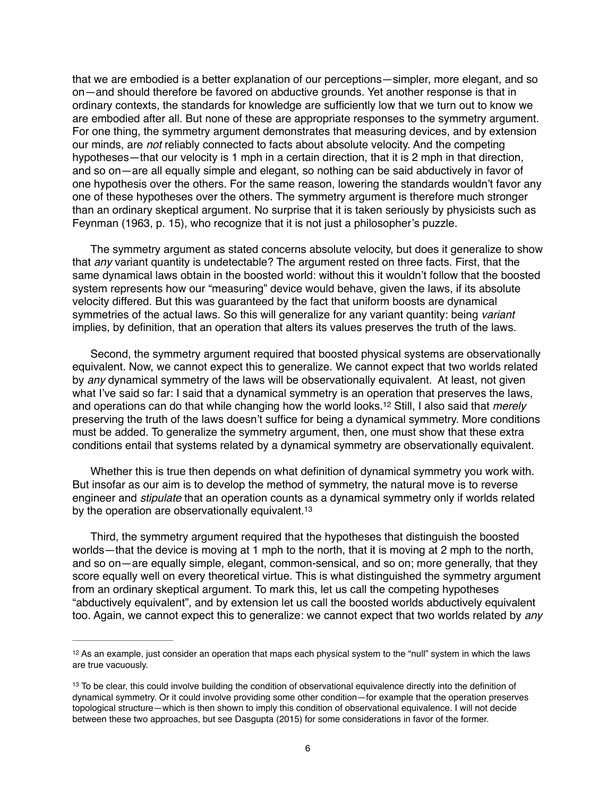that we are embodied is a better explanation of our perceptions—simpler, more elegant, and so on—and should therefore be favored on abductive grounds. Yet another response is that in ordinary contexts, the standards for knowledge are sufficiently low that we turn out to know we are embodied after all. But none of these are appropriate responses to the symmetry argument. For one thing, the symmetry argument demonstrates that measuring devices, and by extension our minds, are *not* reliably connected to facts about absolute velocity. And the competing hypotheses—that our velocity is 1 mph in a certain direction, that it is 2 mph in that direction, and so on—are all equally simple and elegant, so nothing can be said abductively in favor of one hypothesis over the others. For the same reason, lowering the standards wouldn't favor any one of these hypotheses over the others. The symmetry argument is therefore much stronger than an ordinary skeptical argument. No surprise that it is taken seriously by physicists such as Feynman (1963, p. 15), who recognize that it is not just a philosopher's puzzle.

The symmetry argument as stated concerns absolute velocity, but does it generalize to show that *any* variant quantity is undetectable? The argument rested on three facts. First, that the same dynamical laws obtain in the boosted world: without this it wouldn't follow that the boosted system represents how our "measuring" device would behave, given the laws, if its absolute velocity differed. But this was guaranteed by the fact that uniform boosts are dynamical symmetries of the actual laws. So this will generalize for any variant quantity: being *variant* implies, by definition, that an operation that alters its values preserves the truth of the laws.

Second, the symmetry argument required that boosted physical systems are observationally equivalent. Now, we cannot expect this to generalize. We cannot expect that two worlds related by *any* dynamical symmetry of the laws will be observationally equivalent. At least, not given what I've said so far: I said that a dynamical symmetry is an operation that preserves the laws, and operations can do that while changing how the world looks.<sup>12</sup> Still, I also said that *merely* preserving the truth of the laws doesn't suffice for being a dynamical symmetry. More conditions must be added. To generalize the symmetry argument, then, one must show that these extra conditions entail that systems related by a dynamical symmetry are observationally equivalent.

Whether this is true then depends on what definition of dynamical symmetry you work with. But insofar as our aim is to develop the method of symmetry, the natural move is to reverse engineer and *stipulate* that an operation counts as a dynamical symmetry only if worlds related by the operation are observationally equivalent.<sup>13</sup>

Third, the symmetry argument required that the hypotheses that distinguish the boosted worlds—that the device is moving at 1 mph to the north, that it is moving at 2 mph to the north, and so on—are equally simple, elegant, common-sensical, and so on; more generally, that they score equally well on every theoretical virtue. This is what distinguished the symmetry argument from an ordinary skeptical argument. To mark this, let us call the competing hypotheses "abductively equivalent", and by extension let us call the boosted worlds abductively equivalent too. Again, we cannot expect this to generalize: we cannot expect that two worlds related by *any*

 $12$  As an example, just consider an operation that maps each physical system to the "null" system in which the laws are true vacuously.

<sup>&</sup>lt;sup>13</sup> To be clear, this could involve building the condition of observational equivalence directly into the definition of dynamical symmetry. Or it could involve providing some other condition—for example that the operation preserves topological structure—which is then shown to imply this condition of observational equivalence. I will not decide between these two approaches, but see Dasgupta (2015) for some considerations in favor of the former.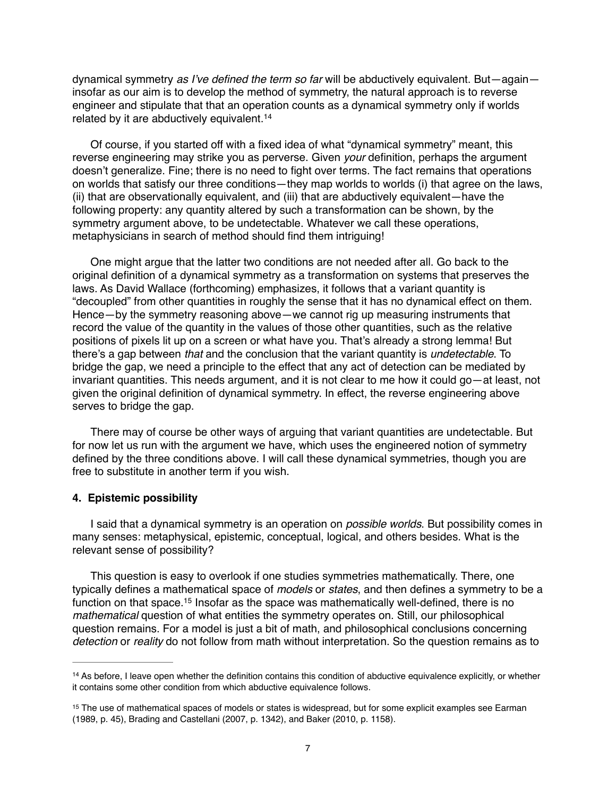dynamical symmetry *as I've defined the term so far* will be abductively equivalent. But—again insofar as our aim is to develop the method of symmetry, the natural approach is to reverse engineer and stipulate that that an operation counts as a dynamical symmetry only if worlds related by it are abductively equivalent.<sup>14</sup>

Of course, if you started off with a fixed idea of what "dynamical symmetry" meant, this reverse engineering may strike you as perverse. Given *your* definition, perhaps the argument doesn't generalize. Fine; there is no need to fight over terms. The fact remains that operations on worlds that satisfy our three conditions—they map worlds to worlds (i) that agree on the laws, (ii) that are observationally equivalent, and (iii) that are abductively equivalent—have the following property: any quantity altered by such a transformation can be shown, by the symmetry argument above, to be undetectable. Whatever we call these operations, metaphysicians in search of method should find them intriguing!

One might argue that the latter two conditions are not needed after all. Go back to the original definition of a dynamical symmetry as a transformation on systems that preserves the laws. As David Wallace (forthcoming) emphasizes, it follows that a variant quantity is "decoupled" from other quantities in roughly the sense that it has no dynamical effect on them. Hence—by the symmetry reasoning above—we cannot rig up measuring instruments that record the value of the quantity in the values of those other quantities, such as the relative positions of pixels lit up on a screen or what have you. That's already a strong lemma! But there's a gap between *that* and the conclusion that the variant quantity is *undetectable*. To bridge the gap, we need a principle to the effect that any act of detection can be mediated by invariant quantities. This needs argument, and it is not clear to me how it could go—at least, not given the original definition of dynamical symmetry. In effect, the reverse engineering above serves to bridge the gap.

There may of course be other ways of arguing that variant quantities are undetectable. But for now let us run with the argument we have, which uses the engineered notion of symmetry defined by the three conditions above. I will call these dynamical symmetries, though you are free to substitute in another term if you wish.

#### **4. Epistemic possibility**

I said that a dynamical symmetry is an operation on *possible worlds*. But possibility comes in many senses: metaphysical, epistemic, conceptual, logical, and others besides. What is the relevant sense of possibility?

This question is easy to overlook if one studies symmetries mathematically. There, one typically defines a mathematical space of *models* or *states*, and then defines a symmetry to be a function on that space.<sup>15</sup> Insofar as the space was mathematically well-defined, there is no *mathematical* question of what entities the symmetry operates on. Still, our philosophical question remains. For a model is just a bit of math, and philosophical conclusions concerning *detection* or *reality* do not follow from math without interpretation. So the question remains as to

<sup>&</sup>lt;sup>14</sup> As before, I leave open whether the definition contains this condition of abductive equivalence explicitly, or whether it contains some other condition from which abductive equivalence follows.

<sup>&</sup>lt;sup>15</sup> The use of mathematical spaces of models or states is widespread, but for some explicit examples see Earman (1989, p. 45), Brading and Castellani (2007, p. 1342), and Baker (2010, p. 1158).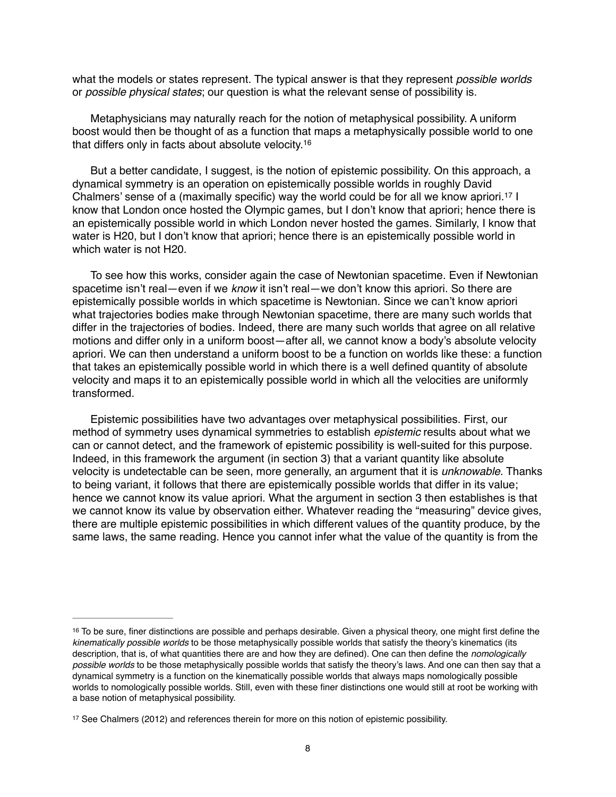what the models or states represent. The typical answer is that they represent *possible worlds* or *possible physical states*; our question is what the relevant sense of possibility is.

Metaphysicians may naturally reach for the notion of metaphysical possibility. A uniform boost would then be thought of as a function that maps a metaphysically possible world to one that differs only in facts about absolute velocity.16

But a better candidate, I suggest, is the notion of epistemic possibility. On this approach, a dynamical symmetry is an operation on epistemically possible worlds in roughly David Chalmers' sense of a (maximally specific) way the world could be for all we know apriori.<sup>17</sup>  $\overline{1}$ know that London once hosted the Olympic games, but I don't know that apriori; hence there is an epistemically possible world in which London never hosted the games. Similarly, I know that water is H20, but I don't know that apriori; hence there is an epistemically possible world in which water is not H20.

To see how this works, consider again the case of Newtonian spacetime. Even if Newtonian spacetime isn't real—even if we *know* it isn't real—we don't know this apriori. So there are epistemically possible worlds in which spacetime is Newtonian. Since we can't know apriori what trajectories bodies make through Newtonian spacetime, there are many such worlds that differ in the trajectories of bodies. Indeed, there are many such worlds that agree on all relative motions and differ only in a uniform boost—after all, we cannot know a body's absolute velocity apriori. We can then understand a uniform boost to be a function on worlds like these: a function that takes an epistemically possible world in which there is a well defined quantity of absolute velocity and maps it to an epistemically possible world in which all the velocities are uniformly transformed.

Epistemic possibilities have two advantages over metaphysical possibilities. First, our method of symmetry uses dynamical symmetries to establish *epistemic* results about what we can or cannot detect, and the framework of epistemic possibility is well-suited for this purpose. Indeed, in this framework the argument (in section 3) that a variant quantity like absolute velocity is undetectable can be seen, more generally, an argument that it is *unknowable*. Thanks to being variant, it follows that there are epistemically possible worlds that differ in its value; hence we cannot know its value apriori. What the argument in section 3 then establishes is that we cannot know its value by observation either. Whatever reading the "measuring" device gives, there are multiple epistemic possibilities in which different values of the quantity produce, by the same laws, the same reading. Hence you cannot infer what the value of the quantity is from the

 $16$  To be sure, finer distinctions are possible and perhaps desirable. Given a physical theory, one might first define the *kinematically possible worlds* to be those metaphysically possible worlds that satisfy the theory's kinematics (its description, that is, of what quantities there are and how they are defined). One can then define the *nomologically possible worlds* to be those metaphysically possible worlds that satisfy the theory's laws. And one can then say that a dynamical symmetry is a function on the kinematically possible worlds that always maps nomologically possible worlds to nomologically possible worlds. Still, even with these finer distinctions one would still at root be working with a base notion of metaphysical possibility.

<sup>&</sup>lt;sup>17</sup> See Chalmers (2012) and references therein for more on this notion of epistemic possibility.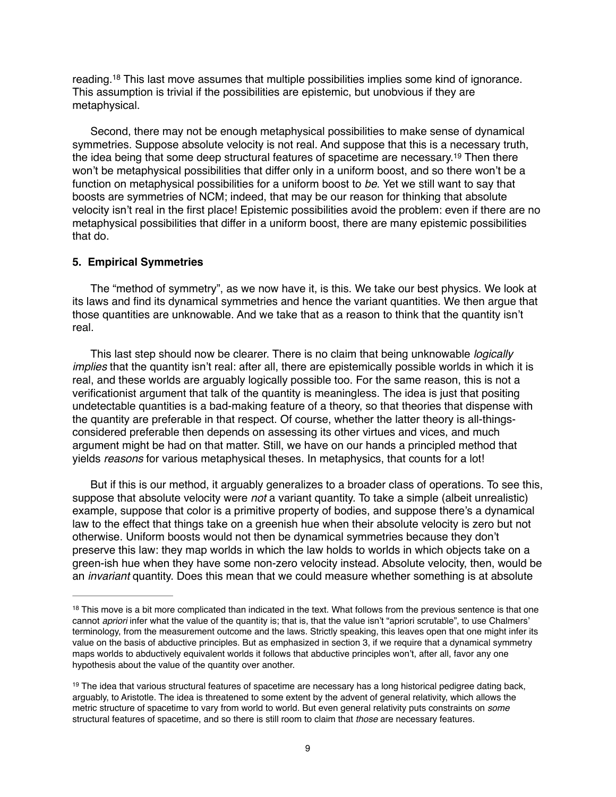reading.<sup>18</sup> This last move assumes that multiple possibilities implies some kind of ignorance. This assumption is trivial if the possibilities are epistemic, but unobvious if they are metaphysical.

Second, there may not be enough metaphysical possibilities to make sense of dynamical symmetries. Suppose absolute velocity is not real. And suppose that this is a necessary truth, the idea being that some deep structural features of spacetime are necessary.<sup>19</sup> Then there won't be metaphysical possibilities that differ only in a uniform boost, and so there won't be a function on metaphysical possibilities for a uniform boost to *be*. Yet we still want to say that boosts are symmetries of NCM; indeed, that may be our reason for thinking that absolute velocity isn't real in the first place! Epistemic possibilities avoid the problem: even if there are no metaphysical possibilities that differ in a uniform boost, there are many epistemic possibilities that do.

# **5. Empirical Symmetries**

The "method of symmetry", as we now have it, is this. We take our best physics. We look at its laws and find its dynamical symmetries and hence the variant quantities. We then argue that those quantities are unknowable. And we take that as a reason to think that the quantity isn't real.

This last step should now be clearer. There is no claim that being unknowable *logically implies* that the quantity isn't real: after all, there are epistemically possible worlds in which it is real, and these worlds are arguably logically possible too. For the same reason, this is not a verificationist argument that talk of the quantity is meaningless. The idea is just that positing undetectable quantities is a bad-making feature of a theory, so that theories that dispense with the quantity are preferable in that respect. Of course, whether the latter theory is all-thingsconsidered preferable then depends on assessing its other virtues and vices, and much argument might be had on that matter. Still, we have on our hands a principled method that yields *reasons* for various metaphysical theses. In metaphysics, that counts for a lot!

But if this is our method, it arguably generalizes to a broader class of operations. To see this, suppose that absolute velocity were *not* a variant quantity. To take a simple (albeit unrealistic) example, suppose that color is a primitive property of bodies, and suppose there's a dynamical law to the effect that things take on a greenish hue when their absolute velocity is zero but not otherwise. Uniform boosts would not then be dynamical symmetries because they don't preserve this law: they map worlds in which the law holds to worlds in which objects take on a green-ish hue when they have some non-zero velocity instead. Absolute velocity, then, would be an *invariant* quantity. Does this mean that we could measure whether something is at absolute

<sup>&</sup>lt;sup>18</sup> This move is a bit more complicated than indicated in the text. What follows from the previous sentence is that one cannot *apriori* infer what the value of the quantity is; that is, that the value isn't "apriori scrutable", to use Chalmers' terminology, from the measurement outcome and the laws. Strictly speaking, this leaves open that one might infer its value on the basis of abductive principles. But as emphasized in section 3, if we require that a dynamical symmetry maps worlds to abductively equivalent worlds it follows that abductive principles won't, after all, favor any one hypothesis about the value of the quantity over another.

 $19$  The idea that various structural features of spacetime are necessary has a long historical pedigree dating back, arguably, to Aristotle. The idea is threatened to some extent by the advent of general relativity, which allows the metric structure of spacetime to vary from world to world. But even general relativity puts constraints on *some* structural features of spacetime, and so there is still room to claim that *those* are necessary features.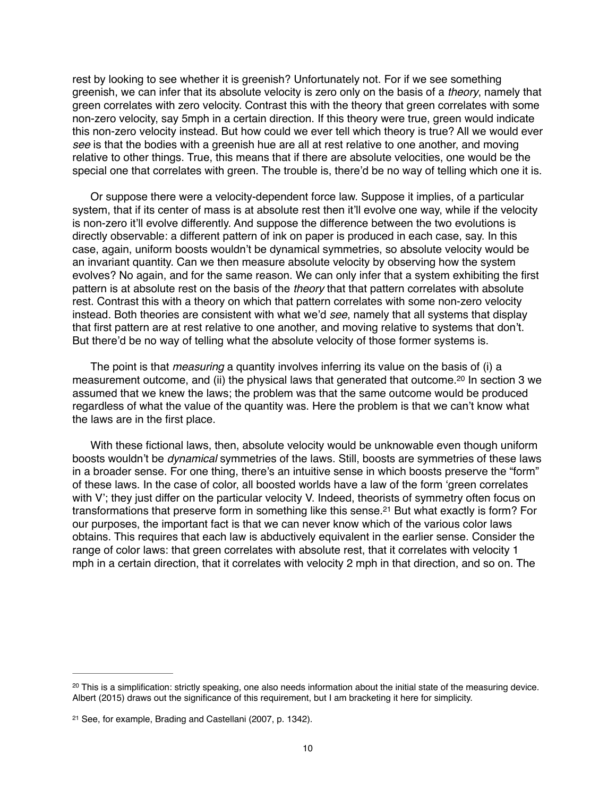rest by looking to see whether it is greenish? Unfortunately not. For if we see something greenish, we can infer that its absolute velocity is zero only on the basis of a *theory*, namely that green correlates with zero velocity. Contrast this with the theory that green correlates with some non-zero velocity, say 5mph in a certain direction. If this theory were true, green would indicate this non-zero velocity instead. But how could we ever tell which theory is true? All we would ever *see* is that the bodies with a greenish hue are all at rest relative to one another, and moving relative to other things. True, this means that if there are absolute velocities, one would be the special one that correlates with green. The trouble is, there'd be no way of telling which one it is.

Or suppose there were a velocity-dependent force law. Suppose it implies, of a particular system, that if its center of mass is at absolute rest then it'll evolve one way, while if the velocity is non-zero it'll evolve differently. And suppose the difference between the two evolutions is directly observable: a different pattern of ink on paper is produced in each case, say. In this case, again, uniform boosts wouldn't be dynamical symmetries, so absolute velocity would be an invariant quantity. Can we then measure absolute velocity by observing how the system evolves? No again, and for the same reason. We can only infer that a system exhibiting the first pattern is at absolute rest on the basis of the *theory* that that pattern correlates with absolute rest. Contrast this with a theory on which that pattern correlates with some non-zero velocity instead. Both theories are consistent with what we'd *see*, namely that all systems that display that first pattern are at rest relative to one another, and moving relative to systems that don't. But there'd be no way of telling what the absolute velocity of those former systems is.

The point is that *measuring* a quantity involves inferring its value on the basis of (i) a measurement outcome, and (ii) the physical laws that generated that outcome.<sup>20</sup> In section 3 we assumed that we knew the laws; the problem was that the same outcome would be produced regardless of what the value of the quantity was. Here the problem is that we can't know what the laws are in the first place.

With these fictional laws, then, absolute velocity would be unknowable even though uniform boosts wouldn't be *dynamical* symmetries of the laws. Still, boosts are symmetries of these laws in a broader sense. For one thing, there's an intuitive sense in which boosts preserve the "form" of these laws. In the case of color, all boosted worlds have a law of the form 'green correlates with V'; they just differ on the particular velocity V. Indeed, theorists of symmetry often focus on transformations that preserve form in something like this sense.<sup>21</sup> But what exactly is form? For our purposes, the important fact is that we can never know which of the various color laws obtains. This requires that each law is abductively equivalent in the earlier sense. Consider the range of color laws: that green correlates with absolute rest, that it correlates with velocity 1 mph in a certain direction, that it correlates with velocity 2 mph in that direction, and so on. The

<sup>&</sup>lt;sup>20</sup> This is a simplification: strictly speaking, one also needs information about the initial state of the measuring device. Albert (2015) draws out the significance of this requirement, but I am bracketing it here for simplicity.

<sup>&</sup>lt;sup>21</sup> See, for example, Brading and Castellani (2007, p. 1342).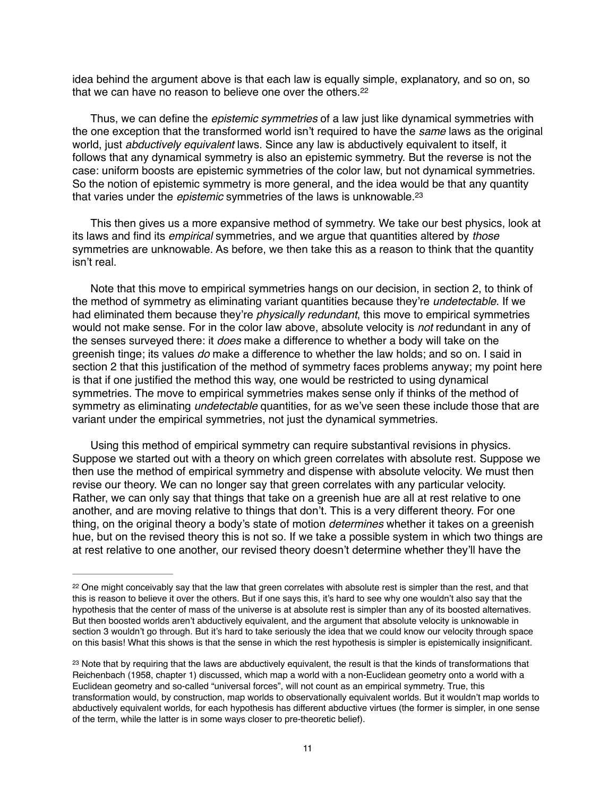idea behind the argument above is that each law is equally simple, explanatory, and so on, so that we can have no reason to believe one over the others.<sup>22</sup>

Thus, we can define the *epistemic symmetries* of a law just like dynamical symmetries with the one exception that the transformed world isn't required to have the *same* laws as the original world, just *abductively equivalent* laws. Since any law is abductively equivalent to itself, it follows that any dynamical symmetry is also an epistemic symmetry. But the reverse is not the case: uniform boosts are epistemic symmetries of the color law, but not dynamical symmetries. So the notion of epistemic symmetry is more general, and the idea would be that any quantity that varies under the *epistemic* symmetries of the laws is unknowable.23

This then gives us a more expansive method of symmetry. We take our best physics, look at its laws and find its *empirical* symmetries, and we argue that quantities altered by *those* symmetries are unknowable. As before, we then take this as a reason to think that the quantity isn't real.

Note that this move to empirical symmetries hangs on our decision, in section 2, to think of the method of symmetry as eliminating variant quantities because they're *undetectable*. If we had eliminated them because they're *physically redundant*, this move to empirical symmetries would not make sense. For in the color law above, absolute velocity is *not* redundant in any of the senses surveyed there: it *does* make a difference to whether a body will take on the greenish tinge; its values *do* make a difference to whether the law holds; and so on. I said in section 2 that this justification of the method of symmetry faces problems anyway; my point here is that if one justified the method this way, one would be restricted to using dynamical symmetries. The move to empirical symmetries makes sense only if thinks of the method of symmetry as eliminating *undetectable* quantities, for as we've seen these include those that are variant under the empirical symmetries, not just the dynamical symmetries.

Using this method of empirical symmetry can require substantival revisions in physics. Suppose we started out with a theory on which green correlates with absolute rest. Suppose we then use the method of empirical symmetry and dispense with absolute velocity. We must then revise our theory. We can no longer say that green correlates with any particular velocity. Rather, we can only say that things that take on a greenish hue are all at rest relative to one another, and are moving relative to things that don't. This is a very different theory. For one thing, on the original theory a body's state of motion *determines* whether it takes on a greenish hue, but on the revised theory this is not so. If we take a possible system in which two things are at rest relative to one another, our revised theory doesn't determine whether they'll have the

<sup>&</sup>lt;sup>22</sup> One might conceivably say that the law that green correlates with absolute rest is simpler than the rest, and that this is reason to believe it over the others. But if one says this, it's hard to see why one wouldn't also say that the hypothesis that the center of mass of the universe is at absolute rest is simpler than any of its boosted alternatives. But then boosted worlds aren't abductively equivalent, and the argument that absolute velocity is unknowable in section 3 wouldn't go through. But it's hard to take seriously the idea that we could know our velocity through space on this basis! What this shows is that the sense in which the rest hypothesis is simpler is epistemically insignificant.

<sup>&</sup>lt;sup>23</sup> Note that by requiring that the laws are abductively equivalent, the result is that the kinds of transformations that Reichenbach (1958, chapter 1) discussed, which map a world with a non-Euclidean geometry onto a world with a Euclidean geometry and so-called "universal forces", will not count as an empirical symmetry. True, this transformation would, by construction, map worlds to observationally equivalent worlds. But it wouldn't map worlds to abductively equivalent worlds, for each hypothesis has different abductive virtues (the former is simpler, in one sense of the term, while the latter is in some ways closer to pre-theoretic belief).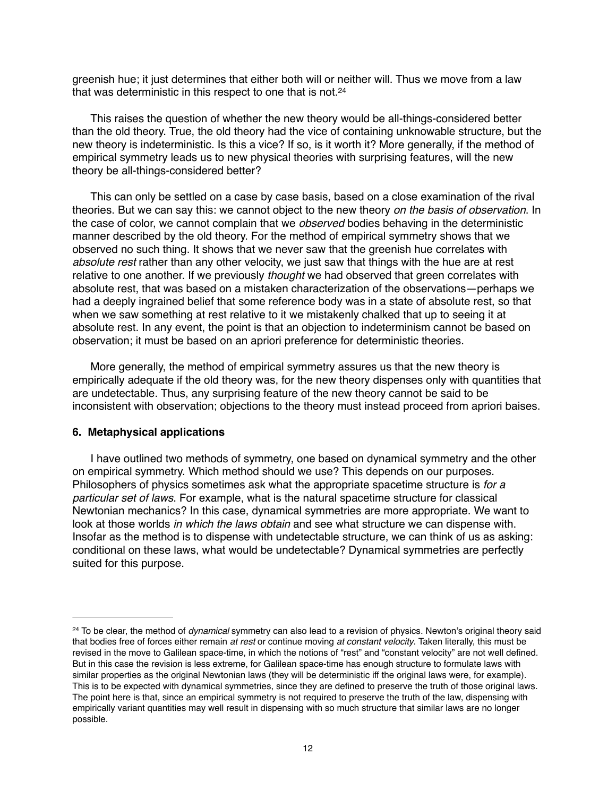greenish hue; it just determines that either both will or neither will. Thus we move from a law that was deterministic in this respect to one that is not.<sup>24</sup>

This raises the question of whether the new theory would be all-things-considered better than the old theory. True, the old theory had the vice of containing unknowable structure, but the new theory is indeterministic. Is this a vice? If so, is it worth it? More generally, if the method of empirical symmetry leads us to new physical theories with surprising features, will the new theory be all-things-considered better?

This can only be settled on a case by case basis, based on a close examination of the rival theories. But we can say this: we cannot object to the new theory *on the basis of observation*. In the case of color, we cannot complain that we *observed* bodies behaving in the deterministic manner described by the old theory. For the method of empirical symmetry shows that we observed no such thing. It shows that we never saw that the greenish hue correlates with *absolute rest* rather than any other velocity, we just saw that things with the hue are at rest relative to one another. If we previously *thought* we had observed that green correlates with absolute rest, that was based on a mistaken characterization of the observations—perhaps we had a deeply ingrained belief that some reference body was in a state of absolute rest, so that when we saw something at rest relative to it we mistakenly chalked that up to seeing it at absolute rest. In any event, the point is that an objection to indeterminism cannot be based on observation; it must be based on an apriori preference for deterministic theories.

More generally, the method of empirical symmetry assures us that the new theory is empirically adequate if the old theory was, for the new theory dispenses only with quantities that are undetectable. Thus, any surprising feature of the new theory cannot be said to be inconsistent with observation; objections to the theory must instead proceed from apriori baises.

## **6. Metaphysical applications**

I have outlined two methods of symmetry, one based on dynamical symmetry and the other on empirical symmetry. Which method should we use? This depends on our purposes. Philosophers of physics sometimes ask what the appropriate spacetime structure is *for a particular set of laws*. For example, what is the natural spacetime structure for classical Newtonian mechanics? In this case, dynamical symmetries are more appropriate. We want to look at those worlds *in which the laws obtain* and see what structure we can dispense with. Insofar as the method is to dispense with undetectable structure, we can think of us as asking: conditional on these laws, what would be undetectable? Dynamical symmetries are perfectly suited for this purpose.

<sup>&</sup>lt;sup>24</sup> To be clear, the method of *dynamical* symmetry can also lead to a revision of physics. Newton's original theory said that bodies free of forces either remain *at rest* or continue moving *at constant velocity*. Taken literally, this must be revised in the move to Galilean space-time, in which the notions of "rest" and "constant velocity" are not well defined. But in this case the revision is less extreme, for Galilean space-time has enough structure to formulate laws with similar properties as the original Newtonian laws (they will be deterministic iff the original laws were, for example). This is to be expected with dynamical symmetries, since they are defined to preserve the truth of those original laws. The point here is that, since an empirical symmetry is not required to preserve the truth of the law, dispensing with empirically variant quantities may well result in dispensing with so much structure that similar laws are no longer possible.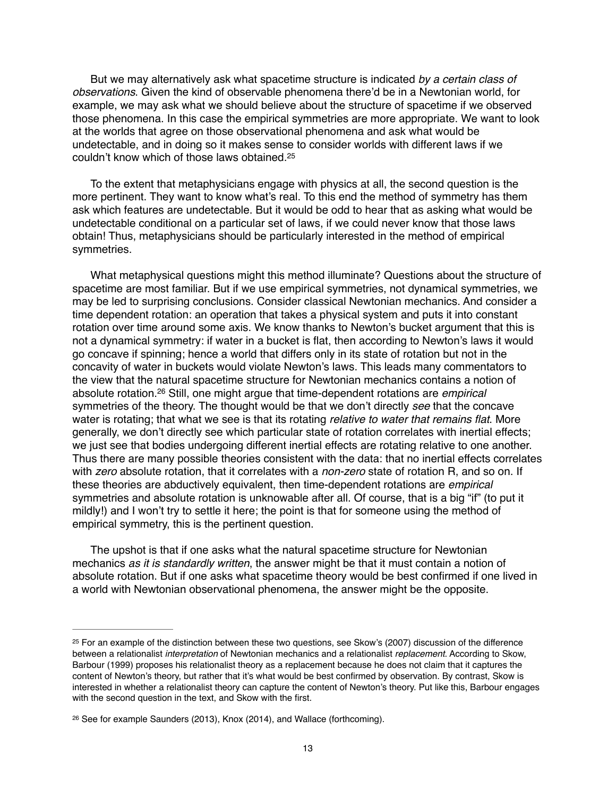But we may alternatively ask what spacetime structure is indicated *by a certain class of observations*. Given the kind of observable phenomena there'd be in a Newtonian world, for example, we may ask what we should believe about the structure of spacetime if we observed those phenomena. In this case the empirical symmetries are more appropriate. We want to look at the worlds that agree on those observational phenomena and ask what would be undetectable, and in doing so it makes sense to consider worlds with different laws if we couldn't know which of those laws obtained.25

To the extent that metaphysicians engage with physics at all, the second question is the more pertinent. They want to know what's real. To this end the method of symmetry has them ask which features are undetectable. But it would be odd to hear that as asking what would be undetectable conditional on a particular set of laws, if we could never know that those laws obtain! Thus, metaphysicians should be particularly interested in the method of empirical symmetries.

What metaphysical questions might this method illuminate? Questions about the structure of spacetime are most familiar. But if we use empirical symmetries, not dynamical symmetries, we may be led to surprising conclusions. Consider classical Newtonian mechanics. And consider a time dependent rotation: an operation that takes a physical system and puts it into constant rotation over time around some axis. We know thanks to Newton's bucket argument that this is not a dynamical symmetry: if water in a bucket is flat, then according to Newton's laws it would go concave if spinning; hence a world that differs only in its state of rotation but not in the concavity of water in buckets would violate Newton's laws. This leads many commentators to the view that the natural spacetime structure for Newtonian mechanics contains a notion of absolute rotation.<sup>26</sup> Still, one might argue that time-dependent rotations are *empirical* symmetries of the theory. The thought would be that we don't directly *see* that the concave water is rotating; that what we see is that its rotating *relative to water that remains flat*. More generally, we don't directly see which particular state of rotation correlates with inertial effects; we just see that bodies undergoing different inertial effects are rotating relative to one another. Thus there are many possible theories consistent with the data: that no inertial effects correlates with *zero* absolute rotation, that it correlates with a *non-zero* state of rotation R, and so on. If these theories are abductively equivalent, then time-dependent rotations are *empirical*  symmetries and absolute rotation is unknowable after all. Of course, that is a big "if" (to put it mildly!) and I won't try to settle it here; the point is that for someone using the method of empirical symmetry, this is the pertinent question.

The upshot is that if one asks what the natural spacetime structure for Newtonian mechanics *as it is standardly written*, the answer might be that it must contain a notion of absolute rotation. But if one asks what spacetime theory would be best confirmed if one lived in a world with Newtonian observational phenomena, the answer might be the opposite.

<sup>&</sup>lt;sup>25</sup> For an example of the distinction between these two questions, see Skow's (2007) discussion of the difference between a relationalist *interpretation* of Newtonian mechanics and a relationalist *replacement*. According to Skow, Barbour (1999) proposes his relationalist theory as a replacement because he does not claim that it captures the content of Newton's theory, but rather that it's what would be best confirmed by observation. By contrast, Skow is interested in whether a relationalist theory can capture the content of Newton's theory. Put like this, Barbour engages with the second question in the text, and Skow with the first.

<sup>&</sup>lt;sup>26</sup> See for example Saunders (2013), Knox (2014), and Wallace (forthcoming).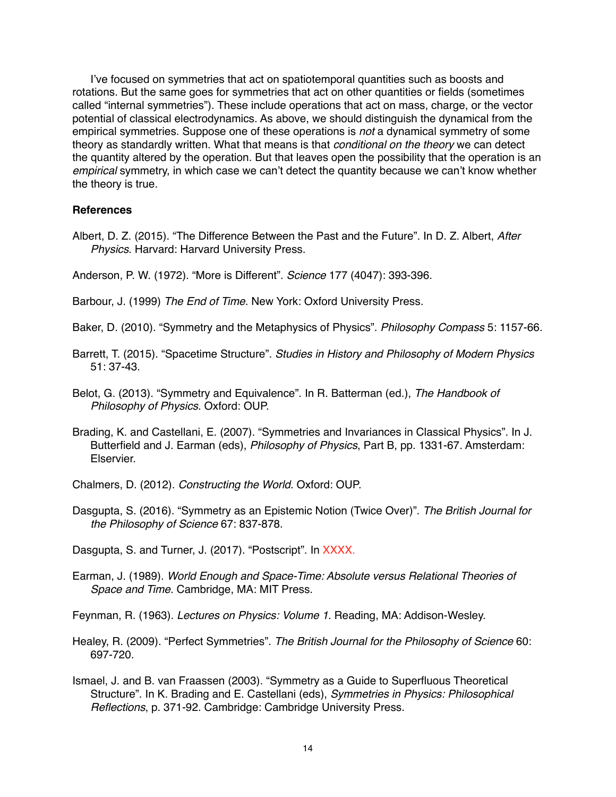I've focused on symmetries that act on spatiotemporal quantities such as boosts and rotations. But the same goes for symmetries that act on other quantities or fields (sometimes called "internal symmetries"). These include operations that act on mass, charge, or the vector potential of classical electrodynamics. As above, we should distinguish the dynamical from the empirical symmetries. Suppose one of these operations is *not* a dynamical symmetry of some theory as standardly written. What that means is that *conditional on the theory* we can detect the quantity altered by the operation. But that leaves open the possibility that the operation is an *empirical* symmetry, in which case we can't detect the quantity because we can't know whether the theory is true.

# **References**

Albert, D. Z. (2015). "The Difference Between the Past and the Future". In D. Z. Albert, *After Physics*. Harvard: Harvard University Press.

Anderson, P. W. (1972). "More is Different". *Science* 177 (4047): 393-396.

- Barbour, J. (1999) *The End of Time*. New York: Oxford University Press.
- Baker, D. (2010). "Symmetry and the Metaphysics of Physics". *Philosophy Compass* 5: 1157-66.
- Barrett, T. (2015). "Spacetime Structure". *Studies in History and Philosophy of Modern Physics* 51: 37-43.
- Belot, G. (2013). "Symmetry and Equivalence". In R. Batterman (ed.), *The Handbook of Philosophy of Physics*. Oxford: OUP.
- Brading, K. and Castellani, E. (2007). "Symmetries and Invariances in Classical Physics". In J. Butterfield and J. Earman (eds), *Philosophy of Physics*, Part B, pp. 1331-67. Amsterdam: Elservier.
- Chalmers, D. (2012). *Constructing the World*. Oxford: OUP.
- Dasgupta, S. (2016). "Symmetry as an Epistemic Notion (Twice Over)". *The British Journal for the Philosophy of Science* 67: 837-878.

Dasgupta, S. and Turner, J. (2017). "Postscript". In XXXX.

Earman, J. (1989). *World Enough and Space-Time: Absolute versus Relational Theories of Space and Time*. Cambridge, MA: MIT Press.

Feynman, R. (1963). *Lectures on Physics: Volume 1*. Reading, MA: Addison-Wesley.

- Healey, R. (2009). "Perfect Symmetries". *The British Journal for the Philosophy of Science* 60: 697-720.
- Ismael, J. and B. van Fraassen (2003). "Symmetry as a Guide to Superfluous Theoretical Structure". In K. Brading and E. Castellani (eds), *Symmetries in Physics: Philosophical Reflections*, p. 371-92. Cambridge: Cambridge University Press.